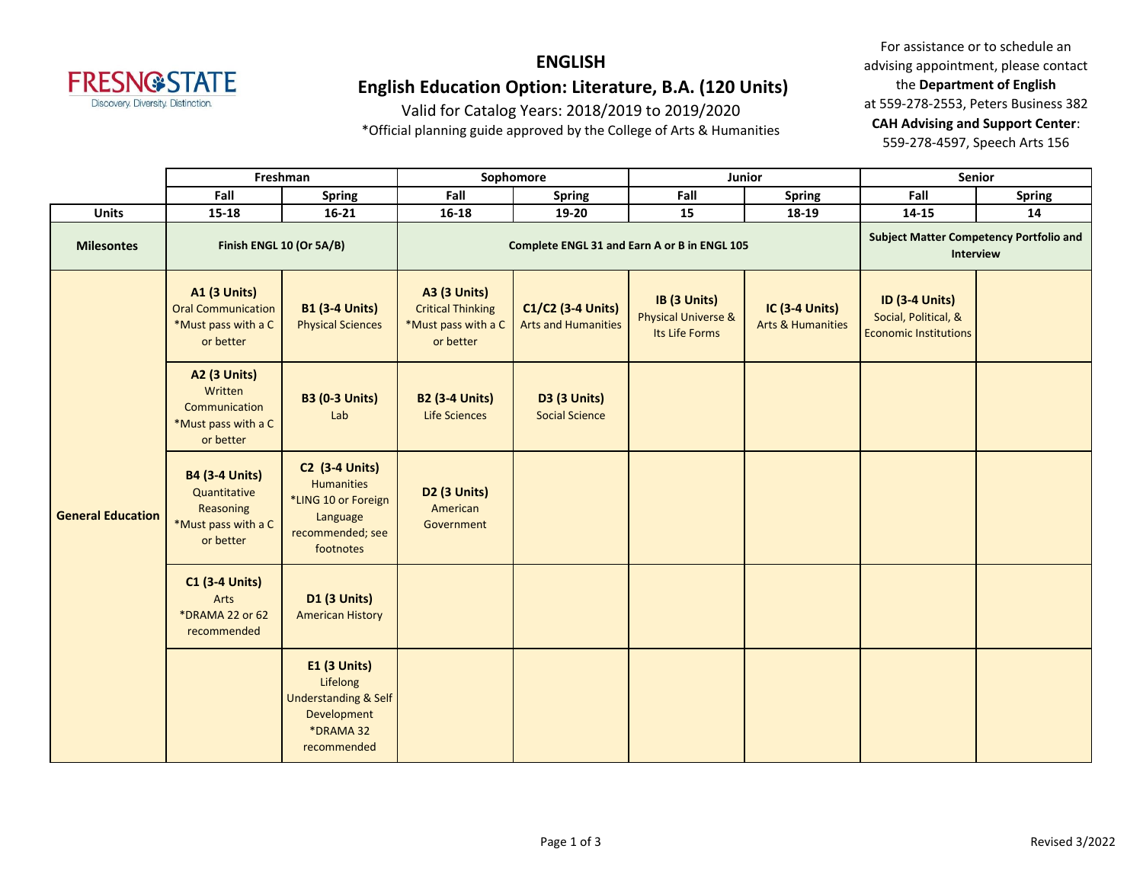

#### **ENGLISH English Education Option: Literature, B.A. (120 Units)**

Valid for Catalog Years: 2018/2019 to 2019/2020

\*Official planning guide approved by the College of Arts & Humanities

|                          | Freshman                                                                               |                                                                                                                | Sophomore                                                                           |                                                 |                                                                  | Junior                                                      | Senior                                                                        |               |
|--------------------------|----------------------------------------------------------------------------------------|----------------------------------------------------------------------------------------------------------------|-------------------------------------------------------------------------------------|-------------------------------------------------|------------------------------------------------------------------|-------------------------------------------------------------|-------------------------------------------------------------------------------|---------------|
|                          | Fall                                                                                   | <b>Spring</b>                                                                                                  | Fall                                                                                | <b>Spring</b>                                   | Fall                                                             | <b>Spring</b>                                               | Fall                                                                          | <b>Spring</b> |
| <b>Units</b>             | 15-18                                                                                  | $16 - 21$                                                                                                      | $16 - 18$                                                                           | 19-20                                           | 15                                                               | 18-19                                                       | 14-15                                                                         | 14            |
| <b>Milesontes</b>        | Finish ENGL 10 (Or 5A/B)                                                               |                                                                                                                | Complete ENGL 31 and Earn A or B in ENGL 105                                        |                                                 |                                                                  | <b>Subject Matter Competency Portfolio and</b><br>Interview |                                                                               |               |
| <b>General Education</b> | <b>A1 (3 Units)</b><br><b>Oral Communication</b><br>*Must pass with a C<br>or better   | <b>B1 (3-4 Units)</b><br><b>Physical Sciences</b>                                                              | <b>A3 (3 Units)</b><br><b>Critical Thinking</b><br>*Must pass with a C<br>or better | C1/C2 (3-4 Units)<br><b>Arts and Humanities</b> | IB (3 Units)<br><b>Physical Universe &amp;</b><br>Its Life Forms | <b>IC (3-4 Units)</b><br><b>Arts &amp; Humanities</b>       | <b>ID (3-4 Units)</b><br>Social, Political, &<br><b>Economic Institutions</b> |               |
|                          | <b>A2 (3 Units)</b><br>Written<br>Communication<br>*Must pass with a C<br>or better    | <b>B3 (0-3 Units)</b><br>Lab                                                                                   | <b>B2 (3-4 Units)</b><br><b>Life Sciences</b>                                       | <b>D3 (3 Units)</b><br><b>Social Science</b>    |                                                                  |                                                             |                                                                               |               |
|                          | <b>B4 (3-4 Units)</b><br>Quantitative<br>Reasoning<br>*Must pass with a C<br>or better | <b>C2 (3-4 Units)</b><br><b>Humanities</b><br>*LING 10 or Foreign<br>Language<br>recommended; see<br>footnotes | <b>D2 (3 Units)</b><br>American<br>Government                                       |                                                 |                                                                  |                                                             |                                                                               |               |
|                          | <b>C1 (3-4 Units)</b><br>Arts<br>*DRAMA 22 or 62<br>recommended                        | <b>D1 (3 Units)</b><br><b>American History</b>                                                                 |                                                                                     |                                                 |                                                                  |                                                             |                                                                               |               |
|                          |                                                                                        | <b>E1 (3 Units)</b><br>Lifelong<br><b>Understanding &amp; Self</b><br>Development<br>*DRAMA 32<br>recommended  |                                                                                     |                                                 |                                                                  |                                                             |                                                                               |               |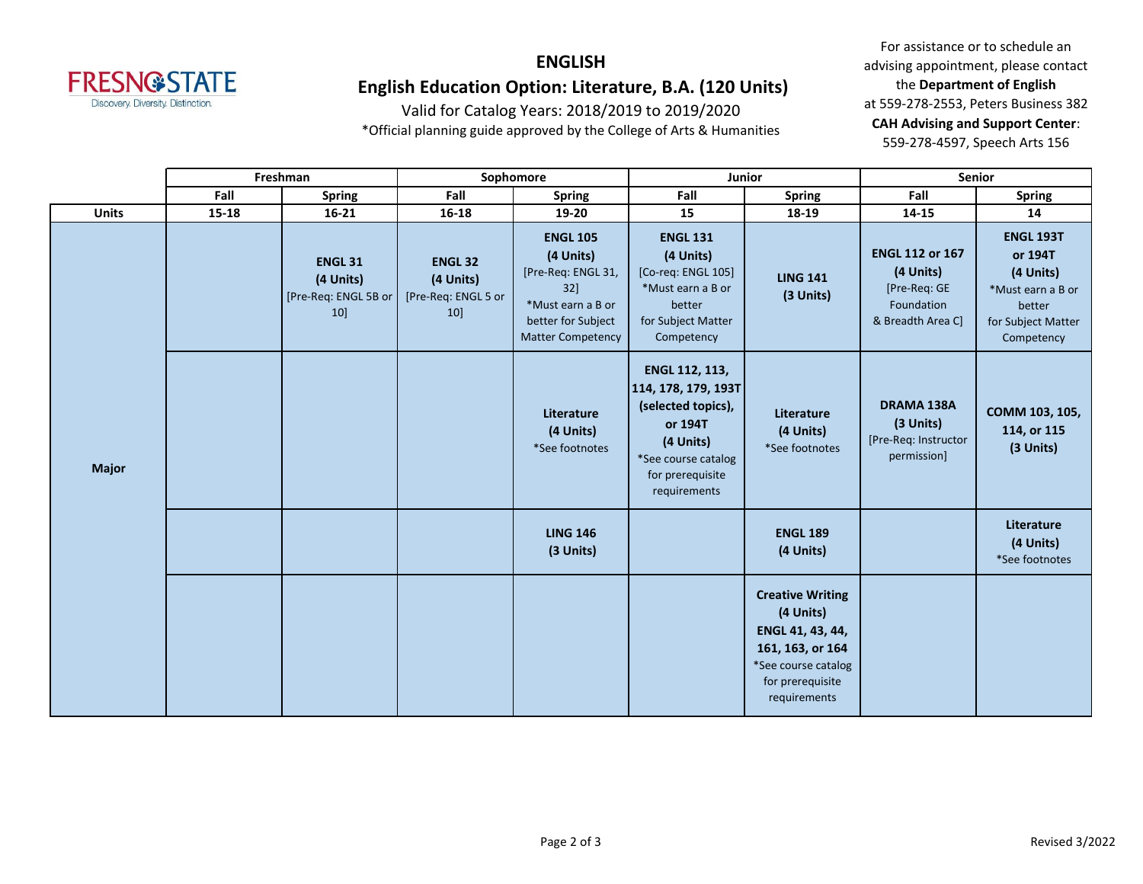

## **ENGLISH English Education Option: Literature, B.A. (120 Units)**

Valid for Catalog Years: 2018/2019 to 2019/2020

\*Official planning guide approved by the College of Arts & Humanities

|              | Freshman  |                                                           | Sophomore                                                |                                                                                                                                     |                                                                                                                                                | Junior                                                                                                                                  | <b>Senior</b>                                                                          |                                                                                                             |
|--------------|-----------|-----------------------------------------------------------|----------------------------------------------------------|-------------------------------------------------------------------------------------------------------------------------------------|------------------------------------------------------------------------------------------------------------------------------------------------|-----------------------------------------------------------------------------------------------------------------------------------------|----------------------------------------------------------------------------------------|-------------------------------------------------------------------------------------------------------------|
|              | Fall      | <b>Spring</b>                                             | Fall                                                     | <b>Spring</b>                                                                                                                       | Fall                                                                                                                                           | <b>Spring</b>                                                                                                                           | Fall                                                                                   | <b>Spring</b>                                                                                               |
| <b>Units</b> | $15 - 18$ | $16 - 21$                                                 | $16 - 18$                                                | 19-20                                                                                                                               | 15                                                                                                                                             | 18-19                                                                                                                                   | 14-15                                                                                  | 14                                                                                                          |
| <b>Major</b> |           | <b>ENGL 31</b><br>(4 Units)<br>[Pre-Req: ENGL 5B or<br>10 | <b>ENGL 32</b><br>(4 Units)<br>[Pre-Req: ENGL 5 or<br>10 | <b>ENGL 105</b><br>(4 Units)<br>[Pre-Req: ENGL 31,<br>$32$ ]<br>*Must earn a B or<br>better for Subject<br><b>Matter Competency</b> | <b>ENGL 131</b><br>(4 Units)<br>[Co-req: ENGL 105]<br>*Must earn a B or<br>better<br>for Subject Matter<br>Competency                          | <b>LING 141</b><br>(3 Units)                                                                                                            | <b>ENGL 112 or 167</b><br>(4 Units)<br>[Pre-Req: GE<br>Foundation<br>& Breadth Area C] | <b>ENGL 193T</b><br>or 194T<br>(4 Units)<br>*Must earn a B or<br>better<br>for Subject Matter<br>Competency |
|              |           |                                                           |                                                          | Literature<br>(4 Units)<br>*See footnotes                                                                                           | ENGL 112, 113,<br>114, 178, 179, 193T<br>(selected topics),<br>or 194T<br>(4 Units)<br>*See course catalog<br>for prerequisite<br>requirements | Literature<br>(4 Units)<br>*See footnotes                                                                                               | DRAMA 138A<br>(3 Units)<br>[Pre-Req: Instructor<br>permission]                         | COMM 103, 105,<br>114, or 115<br>(3 Units)                                                                  |
|              |           |                                                           |                                                          | <b>LING 146</b><br>(3 Units)                                                                                                        |                                                                                                                                                | <b>ENGL 189</b><br>(4 Units)                                                                                                            |                                                                                        | Literature<br>(4 Units)<br>*See footnotes                                                                   |
|              |           |                                                           |                                                          |                                                                                                                                     |                                                                                                                                                | <b>Creative Writing</b><br>(4 Units)<br>ENGL 41, 43, 44,<br>161, 163, or 164<br>*See course catalog<br>for prerequisite<br>requirements |                                                                                        |                                                                                                             |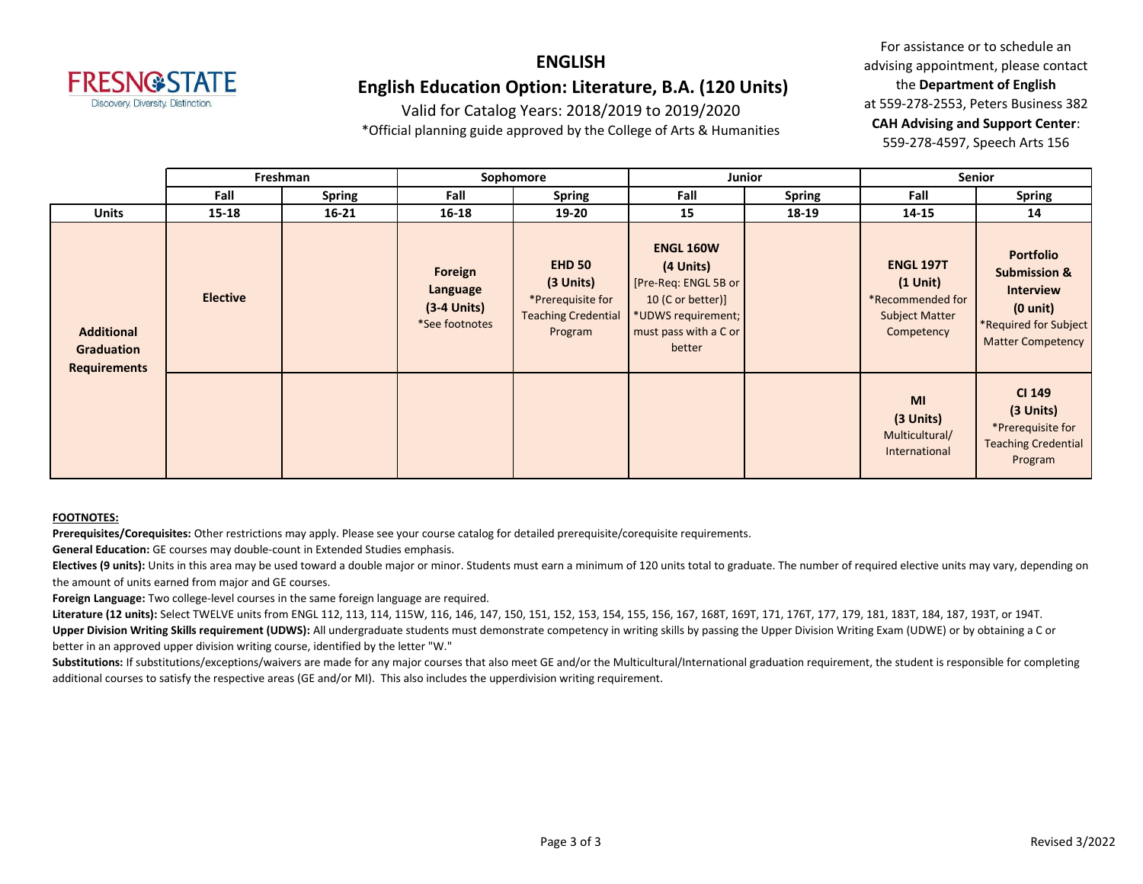

### **ENGLISH English Education Option: Literature, B.A. (120 Units)**

Valid for Catalog Years: 2018/2019 to 2019/2020

\*Official planning guide approved by the College of Arts & Humanities

For assistance or to schedule an advising appointment, please contact the **Department of English** at 559-278-2553, Peters Business 382 **CAH Advising and Support Center**: 559-278-4597, Speech Arts 156

|                                                               | Freshman        |               | Sophomore                                              |                                                                                          |                                                                                                                                     | <b>Junior</b> | Senior                                                                                    |                                                                                                                                            |
|---------------------------------------------------------------|-----------------|---------------|--------------------------------------------------------|------------------------------------------------------------------------------------------|-------------------------------------------------------------------------------------------------------------------------------------|---------------|-------------------------------------------------------------------------------------------|--------------------------------------------------------------------------------------------------------------------------------------------|
|                                                               | Fall            | <b>Spring</b> | Fall                                                   | <b>Spring</b>                                                                            | Fall                                                                                                                                | <b>Spring</b> | Fall                                                                                      | <b>Spring</b>                                                                                                                              |
| <b>Units</b>                                                  | $15 - 18$       | $16 - 21$     | 16-18                                                  | 19-20                                                                                    | 15                                                                                                                                  | 18-19         | 14-15                                                                                     | 14                                                                                                                                         |
| <b>Additional</b><br><b>Graduation</b><br><b>Requirements</b> | <b>Elective</b> |               | Foreign<br>Language<br>$(3-4$ Units)<br>*See footnotes | <b>EHD 50</b><br>(3 Units)<br>*Prerequisite for<br><b>Teaching Credential</b><br>Program | <b>ENGL 160W</b><br>(4 Units)<br>[Pre-Req: ENGL 5B or<br>10 (C or better)]<br>*UDWS requirement;<br>must pass with a C or<br>better |               | <b>ENGL 197T</b><br>$(1$ Unit)<br>*Recommended for<br><b>Subject Matter</b><br>Competency | <b>Portfolio</b><br><b>Submission &amp;</b><br><b>Interview</b><br>$(0 \text{ unit})$<br>*Required for Subject<br><b>Matter Competency</b> |
|                                                               |                 |               |                                                        |                                                                                          |                                                                                                                                     |               | <b>MI</b><br>(3 Units)<br>Multicultural/<br>International                                 | <b>CI 149</b><br>(3 Units)<br>*Prerequisite for<br><b>Teaching Credential</b><br>Program                                                   |

#### **FOOTNOTES:**

**Prerequisites/Corequisites:** Other restrictions may apply. Please see your course catalog for detailed prerequisite/corequisite requirements.

**General Education:** GE courses may double-count in Extended Studies emphasis.

Electives (9 units): Units in this area may be used toward a double major or minor. Students must earn a minimum of 120 units total to graduate. The number of required elective units may vary, depending on the amount of units earned from major and GE courses.

**Foreign Language:** Two college-level courses in the same foreign language are required.

Literature (12 units): Select TWELVE units from ENGL 112, 113, 114, 115W, 116, 146, 147, 150, 151, 152, 153, 154, 155, 156, 167, 168T, 168T, 169T, 177, 179, 181, 183T, 184, 187, 198T, 0r 194T. Upper Division Writing Skills requirement (UDWS): All undergraduate students must demonstrate competency in writing skills by passing the Upper Division Writing Exam (UDWE) or by obtaining a C or better in an approved upper division writing course, identified by the letter "W."

Substitutions: If substitutions/exceptions/waivers are made for any major courses that also meet GE and/or the Multicultural/International graduation requirement, the student is responsible for completing additional courses to satisfy the respective areas (GE and/or MI). This also includes the upperdivision writing requirement.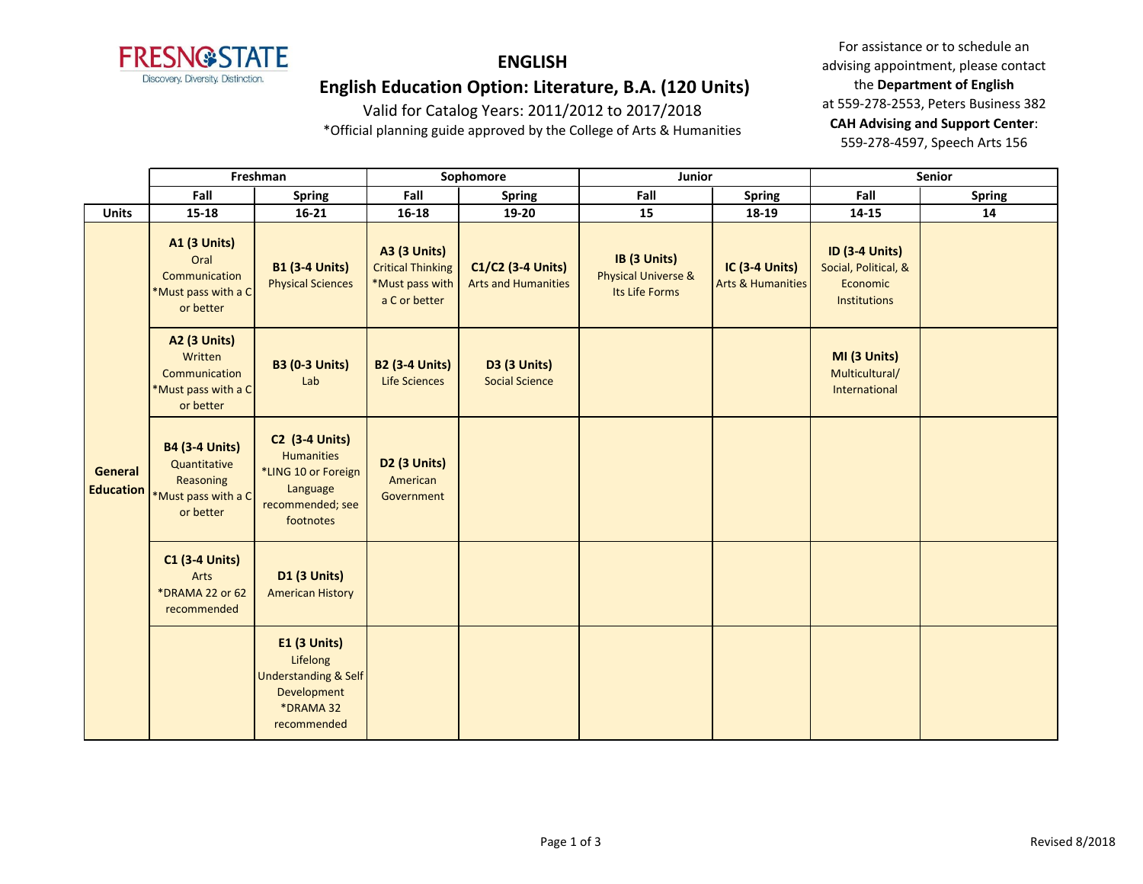

# **ENGLISH**

#### **English Education Option: Literature, B.A. (120 Units)**

Valid for Catalog Years: 2011/2012 to 2017/2018 \*Official planning guide approved by the College of Arts & Humanities

|                             | Freshman                                                                               |                                                                                                                | Sophomore                                                                           |                                                 | Junior                                                           |                                                       | Senior                                                                    |               |  |
|-----------------------------|----------------------------------------------------------------------------------------|----------------------------------------------------------------------------------------------------------------|-------------------------------------------------------------------------------------|-------------------------------------------------|------------------------------------------------------------------|-------------------------------------------------------|---------------------------------------------------------------------------|---------------|--|
|                             | Fall                                                                                   | <b>Spring</b>                                                                                                  | Fall                                                                                | <b>Spring</b>                                   | Fall                                                             | <b>Spring</b>                                         | Fall                                                                      | <b>Spring</b> |  |
| <b>Units</b>                | $15 - 18$                                                                              | $16 - 21$                                                                                                      | $16 - 18$                                                                           | 19-20                                           | 15                                                               | 18-19                                                 | 14-15                                                                     | 14            |  |
|                             | <b>A1 (3 Units)</b><br>Oral<br>Communication<br>*Must pass with a C<br>or better       | <b>B1 (3-4 Units)</b><br><b>Physical Sciences</b>                                                              | <b>A3 (3 Units)</b><br><b>Critical Thinking</b><br>*Must pass with<br>a C or better | C1/C2 (3-4 Units)<br><b>Arts and Humanities</b> | IB (3 Units)<br><b>Physical Universe &amp;</b><br>Its Life Forms | <b>IC (3-4 Units)</b><br><b>Arts &amp; Humanities</b> | <b>ID (3-4 Units)</b><br>Social, Political, &<br>Economic<br>Institutions |               |  |
|                             | <b>A2 (3 Units)</b><br>Written<br>Communication<br>*Must pass with a C<br>or better    | <b>B3 (0-3 Units)</b><br>Lab                                                                                   | <b>B2 (3-4 Units)</b><br><b>Life Sciences</b>                                       | <b>D3 (3 Units)</b><br><b>Social Science</b>    |                                                                  |                                                       | MI (3 Units)<br>Multicultural/<br>International                           |               |  |
| General<br><b>Education</b> | <b>B4 (3-4 Units)</b><br>Quantitative<br>Reasoning<br>*Must pass with a C<br>or better | <b>C2 (3-4 Units)</b><br><b>Humanities</b><br>*LING 10 or Foreign<br>Language<br>recommended; see<br>footnotes | D <sub>2</sub> (3 Units)<br>American<br>Government                                  |                                                 |                                                                  |                                                       |                                                                           |               |  |
|                             | <b>C1 (3-4 Units)</b><br>Arts<br>*DRAMA 22 or 62<br>recommended                        | <b>D1 (3 Units)</b><br><b>American History</b>                                                                 |                                                                                     |                                                 |                                                                  |                                                       |                                                                           |               |  |
|                             |                                                                                        | <b>E1 (3 Units)</b><br>Lifelong<br><b>Understanding &amp; Self</b><br>Development<br>*DRAMA 32<br>recommended  |                                                                                     |                                                 |                                                                  |                                                       |                                                                           |               |  |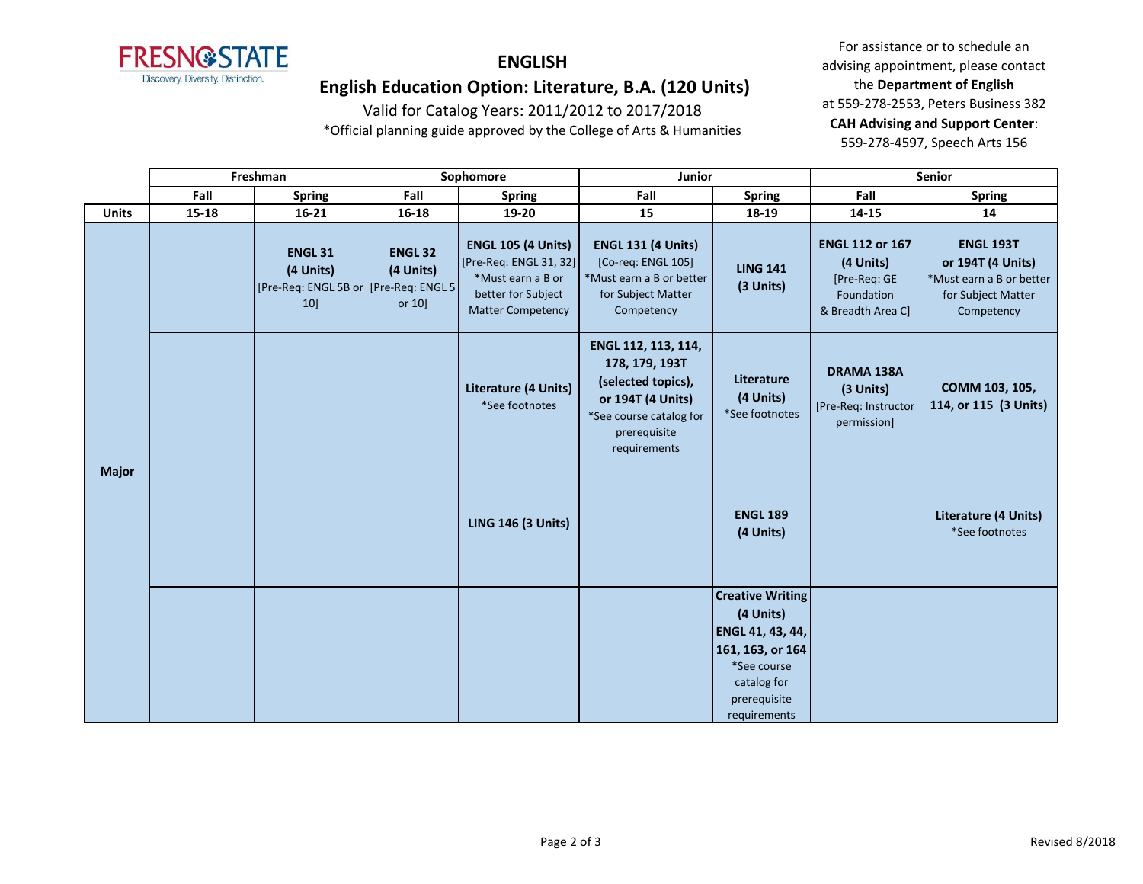

## **ENGLISH**

#### **English Education Option: Literature, B.A. (120 Units)**

Valid for Catalog Years: 2011/2012 to 2017/2018 \*Official planning guide approved by the College of Arts & Humanities

|              | Freshman |                                                                              | Sophomore                              |                                                                                                                            | Junior                                                                                                                                      |                                                                                                                                            | Senior                                                                                 |                                                                                                       |
|--------------|----------|------------------------------------------------------------------------------|----------------------------------------|----------------------------------------------------------------------------------------------------------------------------|---------------------------------------------------------------------------------------------------------------------------------------------|--------------------------------------------------------------------------------------------------------------------------------------------|----------------------------------------------------------------------------------------|-------------------------------------------------------------------------------------------------------|
|              | Fall     | <b>Spring</b>                                                                | Fall                                   | <b>Spring</b>                                                                                                              | Fall                                                                                                                                        | <b>Spring</b>                                                                                                                              | Fall                                                                                   | <b>Spring</b>                                                                                         |
| <b>Units</b> | 15-18    | $16 - 21$                                                                    | $16 - 18$                              | 19-20                                                                                                                      | 15                                                                                                                                          | 18-19                                                                                                                                      | 14-15                                                                                  | 14                                                                                                    |
| <b>Major</b> |          | <b>ENGL 31</b><br>(4 Units)<br>[Pre-Req: ENGL 5B or   [Pre-Req: ENGL 5<br>10 | <b>ENGL 32</b><br>(4 Units)<br>or $10$ | <b>ENGL 105 (4 Units)</b><br>[Pre-Req: ENGL 31, 32]<br>*Must earn a B or<br>better for Subject<br><b>Matter Competency</b> | <b>ENGL 131 (4 Units)</b><br>[Co-req: ENGL 105]<br>*Must earn a B or better<br>for Subject Matter<br>Competency                             | <b>LING 141</b><br>(3 Units)                                                                                                               | <b>ENGL 112 or 167</b><br>(4 Units)<br>[Pre-Req: GE<br>Foundation<br>& Breadth Area C] | <b>ENGL 193T</b><br>or 194T (4 Units)<br>*Must earn a B or better<br>for Subject Matter<br>Competency |
|              |          |                                                                              |                                        | Literature (4 Units)<br>*See footnotes                                                                                     | ENGL 112, 113, 114,<br>178, 179, 193T<br>(selected topics),<br>or 194T (4 Units)<br>*See course catalog for<br>prerequisite<br>requirements | Literature<br>(4 Units)<br>*See footnotes                                                                                                  | DRAMA 138A<br>(3 Units)<br>[Pre-Req: Instructor<br>permission]                         | COMM 103, 105,<br>114, or 115 (3 Units)                                                               |
|              |          |                                                                              |                                        | <b>LING 146 (3 Units)</b>                                                                                                  |                                                                                                                                             | <b>ENGL 189</b><br>(4 Units)                                                                                                               |                                                                                        | Literature (4 Units)<br>*See footnotes                                                                |
|              |          |                                                                              |                                        |                                                                                                                            |                                                                                                                                             | <b>Creative Writing</b><br>(4 Units)<br>ENGL 41, 43, 44,<br>161, 163, or 164<br>*See course<br>catalog for<br>prerequisite<br>requirements |                                                                                        |                                                                                                       |